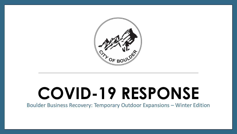

# **COVID-19 RESPONSE**

Boulder Business Recovery: Temporary Outdoor Expansions – Winter Edition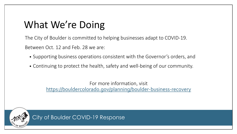# What We're Doing

The City of Boulder is committed to helping businesses adapt to COVID-19. Between Oct. 12 and Feb. 28 we are:

- Supporting business operations consistent with the Governor's orders, and
- Continuing to protect the health, safety and well-being of our community.

For more information, visit <https://bouldercolorado.gov/planning/boulder-business-recovery>

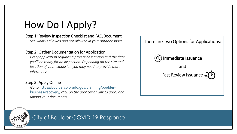# How Do I Apply?

#### Step 1: Review Inspection Checklist and FAQ Document

*See what is allowed and not allowed in your outdoor space*

#### Step 2: Gather Documentation for Application

*Every application requires a project description and the date you'll be ready for an inspection. Depending on the size and location of your expansion you may need to provide more information.*

#### Step 3: Apply Online

*Go to* [https://bouldercolorado.gov/planning/boulder](https://bouldercolorado.gov/planning/boulder-business-recovery)business-recovery, *click on the application link to apply and upload your documents*



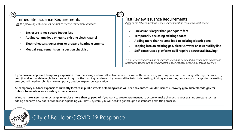#### Immediate Issuance Requirements

*All the following criteria must be met to receive immediate issuance.*

- **Enclosure is 900 square feet or less**
- **Adding 50-amp load or less to existing electric panel**
- **Electric heaters, generators or propane heating elements**
- **Meet all requirements on inspection checklist**

#### Fast Review Issuance Requirements

*If any of the following criteria is met, your application requires a short review*

- **Enclosure is larger than 900 square feet**
- **Temporarily enclosing existing spaces**
- **Adding more than 50-amp load to existing electric panel**
- **Tapping into an existing gas, electric, water or sewer utility line**
- **Self-constructed platforms (will require a structural drawing)**

*\*Fast Reviews require a plan of your site (including pertinent dimensions and equipment specifications) and can be issued within 3 business days pending all criteria are met.*

**If you have an approved temporary expansion from the spring** and would like to continue the use of the same area, you may do so with no changes through February 28, 2021 (if and as that date might be extended in light of the ongoing pandemic). If you would like to include heating, lighting, enclosures, tents and/or changes to the seating area you will need to submit a new temporary outdoor expansion application.

**All temporary outdoor expansions currently located in public streets or loading areas will need to contact BoulderBusinessRecovery@bouldercolorado.gov for options to maintain your existing expansion area.**

Want to make a permanent change or enclose more than 50 people? If you want to create a permanent structure or make changes to your existing structure such as adding a canopy, new door or window or expanding your HVAC system, you will need to go through our standard permitting process.

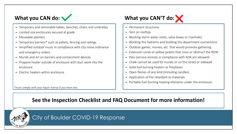

- Temporary and removable tables, benches, chairs and umbrellas
- Limited size enclosures secured at grade
- Moveable planters
- Temporary barriers\* such as pallets, fencing and railings
- Amplified outdoor music in compliance with city noise ordinance and emergency orders
- Murals and art on barriers and containment devices
- Propane heater outside of enclosure with duct work into the enclosure
- Electric heaters within enclosure

*\*must comply with your liquor license if you have one.* 

### What you CAN'T do:

- Permanent structures
- Tent on rooftop
- Blocking storm water inlets, valve boxes or manholes
- Blocking fire hydrants and building fire department connections
- Outdoor games, movies, etc. that would promote gathering
- Extension cords or yellow jackets that cross or obstruct the ROW
- Pets (service animals in compliance with ADA are allowed)
- Chalk cannot be used for murals or on the street or sidewalk
- Solid fuel burning heaters or fireplaces
- Open flames of any kind (including candles)
- Application of fire retardant to materials
- Portable fuel burning heating elements under the enclosure

**See the Inspection Checklist and FAQ Document for more information!**

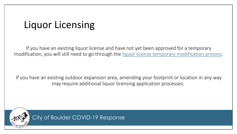# Liquor Licensing

If you have an existing liquor license and have not yet been approved for a temporary modification, you will still need to go through the [liquor license temporary modification process](https://www-static.bouldercolorado.gov/docs/Online_Liquor_Temporary_Modification_Application_Payments_Packet-1-202005221659.pdf).

If you have an existing outdoor expansion area, amending your footprint or location in any way may require additional liquor licensing application processes.

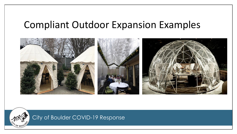## Compliant Outdoor Expansion Examples